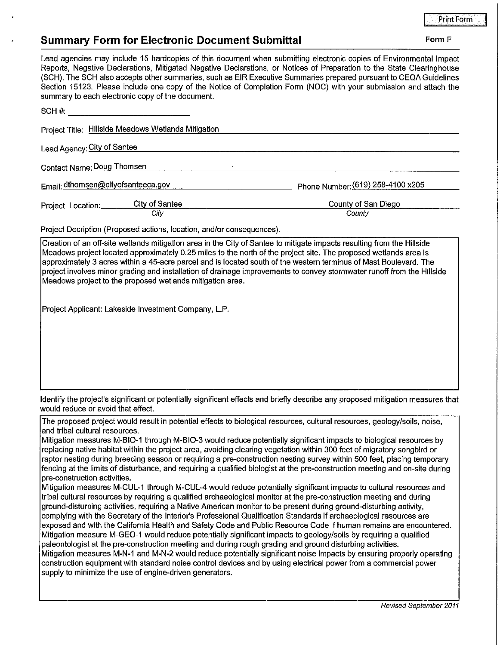## Print Forrn . I

## **Summary Form for Electronic Document Submittal Form F Form F Form F**

| Lead agencies may include 15 hardcopies of this document when submitting electronic copies of Environmental Impact<br>Reports, Negative Declarations, Mitigated Negative Declarations, or Notices of Preparation to the State Clearinghouse<br>(SCH). The SCH also accepts other summaries, such as EIR Executive Summaries prepared pursuant to CEQA Guidelines<br>Section 15123. Please include one copy of the Notice of Completion Form (NOC) with your submission and attach the<br>summary to each electronic copy of the document.               |                                   |
|---------------------------------------------------------------------------------------------------------------------------------------------------------------------------------------------------------------------------------------------------------------------------------------------------------------------------------------------------------------------------------------------------------------------------------------------------------------------------------------------------------------------------------------------------------|-----------------------------------|
|                                                                                                                                                                                                                                                                                                                                                                                                                                                                                                                                                         |                                   |
| Project Title: Hillside Meadows Wetlands Mitigation                                                                                                                                                                                                                                                                                                                                                                                                                                                                                                     |                                   |
| Lead Agency: City of Santee                                                                                                                                                                                                                                                                                                                                                                                                                                                                                                                             |                                   |
| Contact Name: Doug Thomsen                                                                                                                                                                                                                                                                                                                                                                                                                                                                                                                              |                                   |
| Email: dthomsen@cityofsanteeca.gov                                                                                                                                                                                                                                                                                                                                                                                                                                                                                                                      | Phone Number: (619) 258-4100 x205 |
| Project Location: City of Santee                                                                                                                                                                                                                                                                                                                                                                                                                                                                                                                        | County of San Diego               |
| City                                                                                                                                                                                                                                                                                                                                                                                                                                                                                                                                                    | County                            |
| Project Decription (Proposed actions, location, and/or consequences).                                                                                                                                                                                                                                                                                                                                                                                                                                                                                   |                                   |
| Creation of an off-site wetlands mitigation area in the City of Santee to mitigate impacts resulting from the Hillside<br>Meadows project located approximately 0.25 miles to the north of the project site. The proposed wetlands area is<br> approximately 3 acres within a 45-acre parcel and is located south of the western terminus of Mast Boulevard. The<br>project involves minor grading and installation of drainage improvements to convey stormwater runoff from the Hillside<br>Meadows project to the proposed wetlands mitigation area. |                                   |

Project Applicant: Lakeside Investment Company, L.P.

Identify the project's significant or potentially significant effects and briefly describe any proposed mitigation measures that would reduce or avoid that effect.

The proposed project would result in potential effects to biological resources, cultural resources, geology/soils, noise, and tribal cultural resources.

Mitigation measures M-BIO-1 through M-BIO-3 would reduce potentially significant impacts to biological resources by replacing native habitat within the project area, avoiding clearing vegetation within 300 feet of migratory songbird or raptor nesting during breeding season or requiring a pre-construction nesting survey within 500 feet, placing temporary fencing at the limits of disturbance, and requiring a qualified biologist at the pre-construction meeting and on-site during pre-construction activities.

Mitigation measures M-CUL-1 through M-CUL-4 would reduce potentially significant impacts to cultural resources and tribal cultural resources by requiring a qualified archaeological monitor at the pre-construction meeting and during ground-disturbing activities, requiring a Native American monitor to be present during ground-disturbing activity, complying with the Secretary of the Interior's Professional Qualification Standards if archaeological resources are exposed and with the California Health and Safety Code and Public Resource Code if human remains are encountered. Mitigation measure M-GEO-1 would reduce potentially significant impacts to geology/soils by requiring a qualified paleontologist at the pre-construction meeting and during rough grading and ground disturbing activities. Mitigation measures M-N-1 and M-N-2 would reduce potentially significant noise impacts by ensuring properly operating construction equipment with standard noise control devices and by using electrical power from a commercial power supply to minimize the use of engine-driven generators.